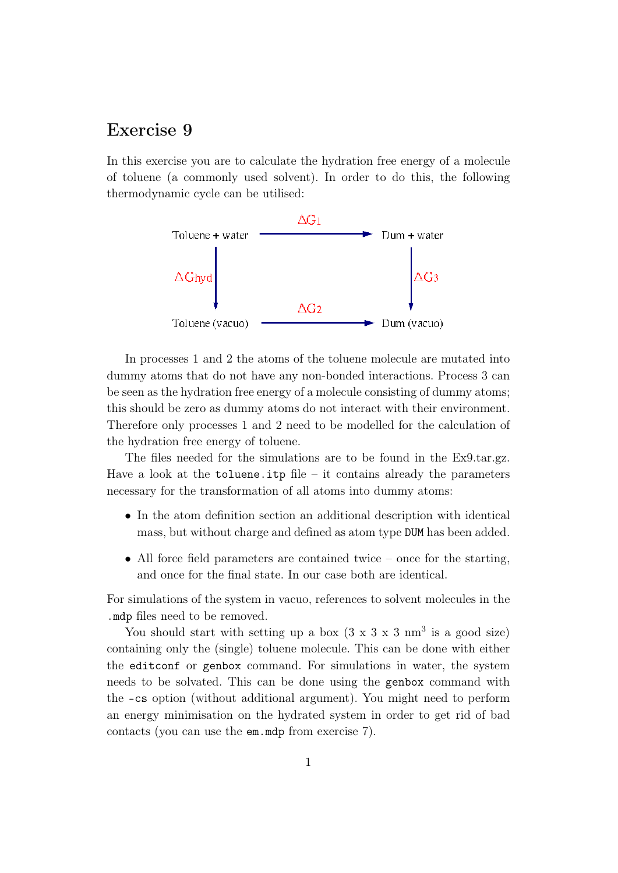## Exercise 9

In this exercise you are to calculate the hydration free energy of a molecule of toluene (a commonly used solvent). In order to do this, the following thermodynamic cycle can be utilised:



In processes 1 and 2 the atoms of the toluene molecule are mutated into dummy atoms that do not have any non-bonded interactions. Process 3 can be seen as the hydration free energy of a molecule consisting of dummy atoms; this should be zero as dummy atoms do not interact with their environment. Therefore only processes 1 and 2 need to be modelled for the calculation of the hydration free energy of toluene.

The files needed for the simulations are to be found in the Ex9.tar.gz. Have a look at the  $toluene.$  it points already the parameters necessary for the transformation of all atoms into dummy atoms:

- In the atom definition section an additional description with identical mass, but without charge and defined as atom type DUM has been added.
- All force field parameters are contained twice once for the starting, and once for the final state. In our case both are identical.

For simulations of the system in vacuo, references to solvent molecules in the .mdp files need to be removed.

You should start with setting up a box  $(3 \times 3 \times 3 \text{ nm}^3)$  is a good size) containing only the (single) toluene molecule. This can be done with either the editconf or genbox command. For simulations in water, the system needs to be solvated. This can be done using the genbox command with the -cs option (without additional argument). You might need to perform an energy minimisation on the hydrated system in order to get rid of bad contacts (you can use the em.mdp from exercise 7).